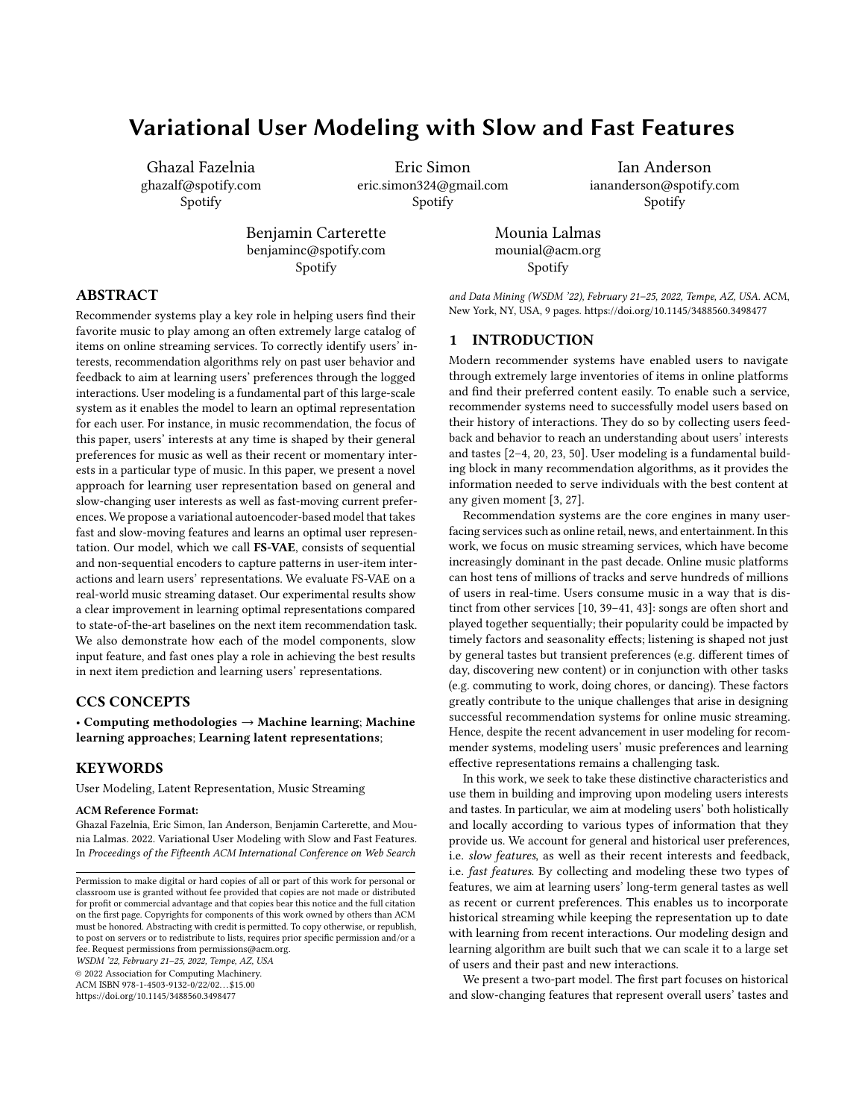# <span id="page-0-0"></span>Variational User Modeling with Slow and Fast Features

Ghazal Fazelnia ghazalf@spotify.com Spotify

Eric Simon eric.simon324@gmail.com Spotify

Ian Anderson iananderson@spotify.com Spotify

Mounia Lalmas mounial@acm.org Spotify

# ABSTRACT

Recommender systems play a key role in helping users find their favorite music to play among an often extremely large catalog of items on online streaming services. To correctly identify users' interests, recommendation algorithms rely on past user behavior and feedback to aim at learning users' preferences through the logged interactions. User modeling is a fundamental part of this large-scale system as it enables the model to learn an optimal representation for each user. For instance, in music recommendation, the focus of this paper, users' interests at any time is shaped by their general preferences for music as well as their recent or momentary interests in a particular type of music. In this paper, we present a novel approach for learning user representation based on general and slow-changing user interests as well as fast-moving current preferences. We propose a variational autoencoder-based model that takes fast and slow-moving features and learns an optimal user representation. Our model, which we call FS-VAE, consists of sequential and non-sequential encoders to capture patterns in user-item interactions and learn users' representations. We evaluate FS-VAE on a real-world music streaming dataset. Our experimental results show a clear improvement in learning optimal representations compared to state-of-the-art baselines on the next item recommendation task. We also demonstrate how each of the model components, slow input feature, and fast ones play a role in achieving the best results in next item prediction and learning users' representations.

Benjamin Carterette benjaminc@spotify.com Spotify

# CCS CONCEPTS

• Computing methodologies  $\rightarrow$  Machine learning; Machine learning approaches; Learning latent representations;

## **KEYWORDS**

User Modeling, Latent Representation, Music Streaming

#### ACM Reference Format:

Ghazal Fazelnia, Eric Simon, Ian Anderson, Benjamin Carterette, and Mounia Lalmas. 2022. Variational User Modeling with Slow and Fast Features. In Proceedings of the Fifteenth ACM International Conference on Web Search

WSDM '22, February 21–25, 2022, Tempe, AZ, USA

© 2022 Association for Computing Machinery.

ACM ISBN 978-1-4503-9132-0/22/02. . . \$15.00 <https://doi.org/10.1145/3488560.3498477>

and Data Mining (WSDM '22), February 21–25, 2022, Tempe, AZ, USA. ACM, New York, NY, USA, [9](#page-0-0) pages.<https://doi.org/10.1145/3488560.3498477>

# 1 INTRODUCTION

Modern recommender systems have enabled users to navigate through extremely large inventories of items in online platforms and find their preferred content easily. To enable such a service, recommender systems need to successfully model users based on their history of interactions. They do so by collecting users feedback and behavior to reach an understanding about users' interests and tastes [\[2](#page-8-0)[–4,](#page-8-1) [20,](#page-8-2) [23,](#page-8-3) [50\]](#page-8-4). User modeling is a fundamental building block in many recommendation algorithms, as it provides the information needed to serve individuals with the best content at any given moment [\[3,](#page-8-5) [27\]](#page-8-6).

Recommendation systems are the core engines in many userfacing services such as online retail, news, and entertainment. In this work, we focus on music streaming services, which have become increasingly dominant in the past decade. Online music platforms can host tens of millions of tracks and serve hundreds of millions of users in real-time. Users consume music in a way that is distinct from other services [\[10,](#page-8-7) [39](#page-8-8)[–41,](#page-8-9) [43\]](#page-8-10): songs are often short and played together sequentially; their popularity could be impacted by timely factors and seasonality effects; listening is shaped not just by general tastes but transient preferences (e.g. different times of day, discovering new content) or in conjunction with other tasks (e.g. commuting to work, doing chores, or dancing). These factors greatly contribute to the unique challenges that arise in designing successful recommendation systems for online music streaming. Hence, despite the recent advancement in user modeling for recommender systems, modeling users' music preferences and learning effective representations remains a challenging task.

In this work, we seek to take these distinctive characteristics and use them in building and improving upon modeling users interests and tastes. In particular, we aim at modeling users' both holistically and locally according to various types of information that they provide us. We account for general and historical user preferences, i.e. slow features, as well as their recent interests and feedback, i.e. fast features. By collecting and modeling these two types of features, we aim at learning users' long-term general tastes as well as recent or current preferences. This enables us to incorporate historical streaming while keeping the representation up to date with learning from recent interactions. Our modeling design and learning algorithm are built such that we can scale it to a large set of users and their past and new interactions.

We present a two-part model. The first part focuses on historical and slow-changing features that represent overall users' tastes and

Permission to make digital or hard copies of all or part of this work for personal or classroom use is granted without fee provided that copies are not made or distributed for profit or commercial advantage and that copies bear this notice and the full citation on the first page. Copyrights for components of this work owned by others than ACM must be honored. Abstracting with credit is permitted. To copy otherwise, or republish, to post on servers or to redistribute to lists, requires prior specific permission and/or a fee. Request permissions from permissions@acm.org.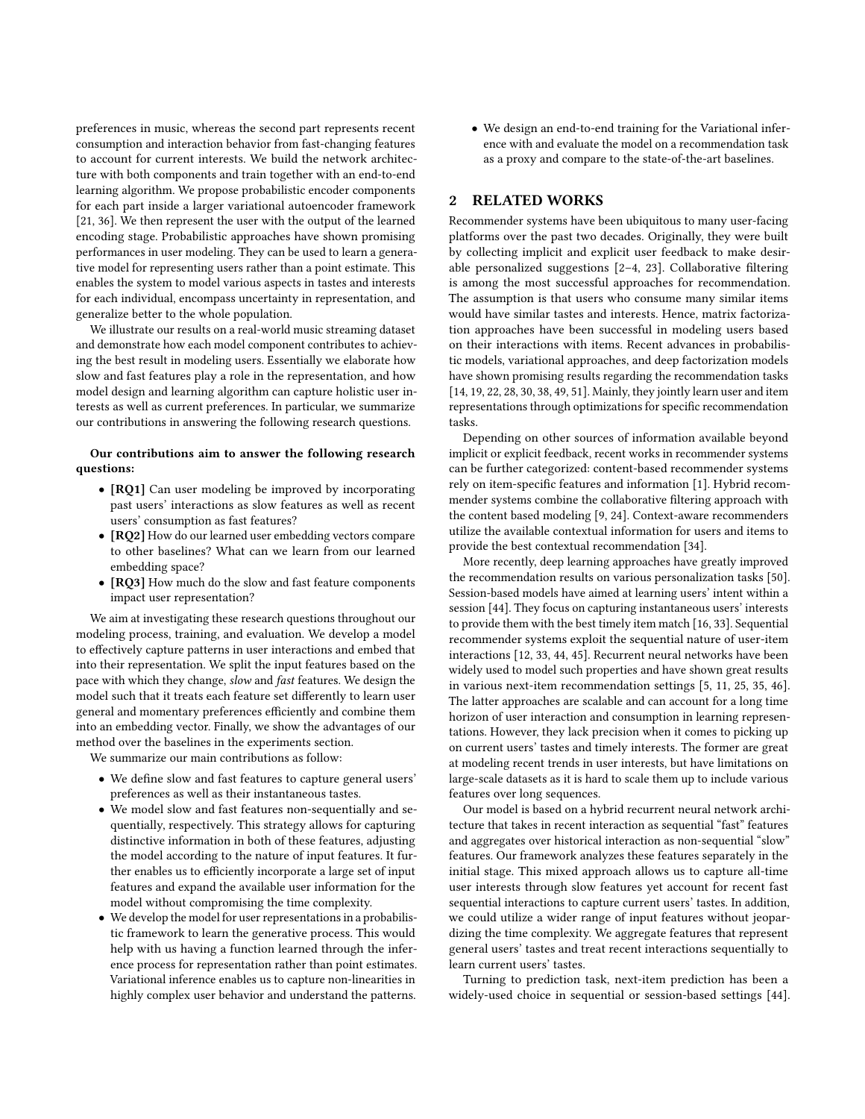preferences in music, whereas the second part represents recent consumption and interaction behavior from fast-changing features to account for current interests. We build the network architecture with both components and train together with an end-to-end learning algorithm. We propose probabilistic encoder components for each part inside a larger variational autoencoder framework [\[21,](#page-8-11) [36\]](#page-8-12). We then represent the user with the output of the learned encoding stage. Probabilistic approaches have shown promising performances in user modeling. They can be used to learn a generative model for representing users rather than a point estimate. This enables the system to model various aspects in tastes and interests for each individual, encompass uncertainty in representation, and generalize better to the whole population.

We illustrate our results on a real-world music streaming dataset and demonstrate how each model component contributes to achieving the best result in modeling users. Essentially we elaborate how slow and fast features play a role in the representation, and how model design and learning algorithm can capture holistic user interests as well as current preferences. In particular, we summarize our contributions in answering the following research questions.

#### Our contributions aim to answer the following research questions:

- [RQ1] Can user modeling be improved by incorporating past users' interactions as slow features as well as recent users' consumption as fast features?
- [RQ2] How do our learned user embedding vectors compare to other baselines? What can we learn from our learned embedding space?
- [RQ3] How much do the slow and fast feature components impact user representation?

We aim at investigating these research questions throughout our modeling process, training, and evaluation. We develop a model to effectively capture patterns in user interactions and embed that into their representation. We split the input features based on the pace with which they change, slow and fast features. We design the model such that it treats each feature set differently to learn user general and momentary preferences efficiently and combine them into an embedding vector. Finally, we show the advantages of our method over the baselines in the experiments section.

We summarize our main contributions as follow:

- We define slow and fast features to capture general users' preferences as well as their instantaneous tastes.
- We model slow and fast features non-sequentially and sequentially, respectively. This strategy allows for capturing distinctive information in both of these features, adjusting the model according to the nature of input features. It further enables us to efficiently incorporate a large set of input features and expand the available user information for the model without compromising the time complexity.
- We develop the model for user representations in a probabilistic framework to learn the generative process. This would help with us having a function learned through the inference process for representation rather than point estimates. Variational inference enables us to capture non-linearities in highly complex user behavior and understand the patterns.

• We design an end-to-end training for the Variational inference with and evaluate the model on a recommendation task as a proxy and compare to the state-of-the-art baselines.

# 2 RELATED WORKS

Recommender systems have been ubiquitous to many user-facing platforms over the past two decades. Originally, they were built by collecting implicit and explicit user feedback to make desirable personalized suggestions [\[2](#page-8-0)[–4,](#page-8-1) [23\]](#page-8-3). Collaborative filtering is among the most successful approaches for recommendation. The assumption is that users who consume many similar items would have similar tastes and interests. Hence, matrix factorization approaches have been successful in modeling users based on their interactions with items. Recent advances in probabilistic models, variational approaches, and deep factorization models have shown promising results regarding the recommendation tasks [\[14,](#page-8-13) [19,](#page-8-14) [22,](#page-8-15) [28,](#page-8-16) [30,](#page-8-17) [38,](#page-8-18) [49,](#page-8-19) [51\]](#page-8-20). Mainly, they jointly learn user and item representations through optimizations for specific recommendation tasks.

Depending on other sources of information available beyond implicit or explicit feedback, recent works in recommender systems can be further categorized: content-based recommender systems rely on item-specific features and information [\[1\]](#page-8-21). Hybrid recommender systems combine the collaborative filtering approach with the content based modeling [\[9,](#page-8-22) [24\]](#page-8-23). Context-aware recommenders utilize the available contextual information for users and items to provide the best contextual recommendation [\[34\]](#page-8-24).

More recently, deep learning approaches have greatly improved the recommendation results on various personalization tasks [\[50\]](#page-8-4). Session-based models have aimed at learning users' intent within a session [\[44\]](#page-8-25). They focus on capturing instantaneous users' interests to provide them with the best timely item match [\[16,](#page-8-26) [33\]](#page-8-27). Sequential recommender systems exploit the sequential nature of user-item interactions [\[12,](#page-8-28) [33,](#page-8-27) [44,](#page-8-25) [45\]](#page-8-29). Recurrent neural networks have been widely used to model such properties and have shown great results in various next-item recommendation settings [\[5,](#page-8-30) [11,](#page-8-31) [25,](#page-8-32) [35,](#page-8-33) [46\]](#page-8-34). The latter approaches are scalable and can account for a long time horizon of user interaction and consumption in learning representations. However, they lack precision when it comes to picking up on current users' tastes and timely interests. The former are great at modeling recent trends in user interests, but have limitations on large-scale datasets as it is hard to scale them up to include various features over long sequences.

Our model is based on a hybrid recurrent neural network architecture that takes in recent interaction as sequential "fast" features and aggregates over historical interaction as non-sequential "slow" features. Our framework analyzes these features separately in the initial stage. This mixed approach allows us to capture all-time user interests through slow features yet account for recent fast sequential interactions to capture current users' tastes. In addition, we could utilize a wider range of input features without jeopardizing the time complexity. We aggregate features that represent general users' tastes and treat recent interactions sequentially to learn current users' tastes.

Turning to prediction task, next-item prediction has been a widely-used choice in sequential or session-based settings [\[44\]](#page-8-25).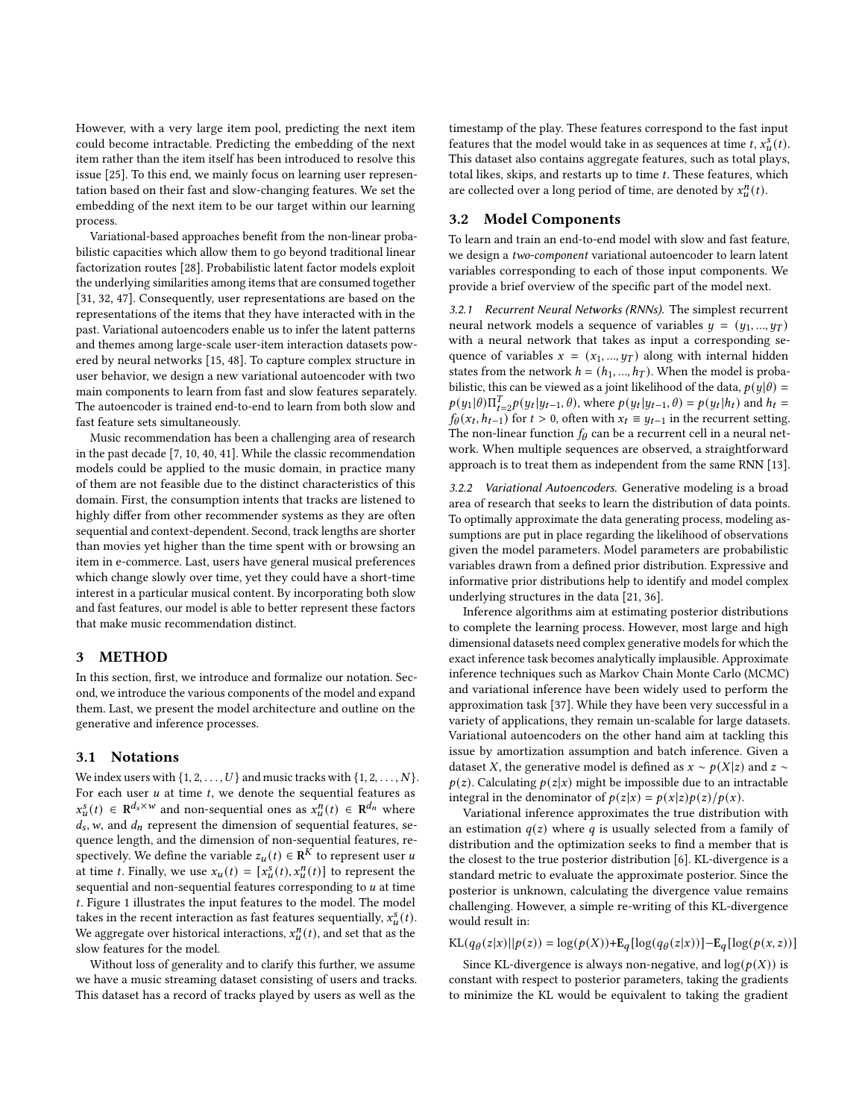However, with a very large item pool, predicting the next item could become intractable. Predicting the embedding of the next item rather than the item itself has been introduced to resolve this issue [\[25\]](#page-8-32). To this end, we mainly focus on learning user representation based on their fast and slow-changing features. We set the embedding of the next item to be our target within our learning process.

Variational-based approaches benefit from the non-linear probabilistic capacities which allow them to go beyond traditional linear factorization routes [\[28\]](#page-8-16). Probabilistic latent factor models exploit the underlying similarities among items that are consumed together [\[31,](#page-8-35) [32,](#page-8-36) [47\]](#page-8-37). Consequently, user representations are based on the representations of the items that they have interacted with in the past. Variational autoencoders enable us to infer the latent patterns and themes among large-scale user-item interaction datasets powered by neural networks [\[15,](#page-8-38) [48\]](#page-8-39). To capture complex structure in user behavior, we design a new variational autoencoder with two main components to learn from fast and slow features separately. The autoencoder is trained end-to-end to learn from both slow and fast feature sets simultaneously.

Music recommendation has been a challenging area of research in the past decade [\[7,](#page-8-40) [10,](#page-8-7) [40,](#page-8-41) [41\]](#page-8-9). While the classic recommendation models could be applied to the music domain, in practice many of them are not feasible due to the distinct characteristics of this domain. First, the consumption intents that tracks are listened to highly differ from other recommender systems as they are often sequential and context-dependent. Second, track lengths are shorter than movies yet higher than the time spent with or browsing an item in e-commerce. Last, users have general musical preferences which change slowly over time, yet they could have a short-time interest in a particular musical content. By incorporating both slow and fast features, our model is able to better represent these factors that make music recommendation distinct.

#### <span id="page-2-0"></span>3 METHOD

In this section, first, we introduce and formalize our notation. Second, we introduce the various components of the model and expand them. Last, we present the model architecture and outline on the generative and inference processes.

#### 3.1 Notations

We index users with  $\{1, 2, \ldots, U\}$  and music tracks with  $\{1, 2, \ldots, N\}$ . For each user  $u$  at time  $t$ , we denote the sequential features as  $x_u^s(t) \in \mathbb{R}^{d_s \times w}$  and non-sequential ones as  $x_u^n(t) \in \mathbb{R}^{d_n}$  where  $d_s$ , w, and  $d_n$  represent the dimension of sequential features, sequence length, and the dimension of non-sequential features, respectively. We define the variable  $z_u(t) \in \mathbb{R}^{K}$  to represent user u at time *t*. Finally, we use  $x_u(t) = [x_u^s(t), x_u^n(t)]$  to represent the sequential and non-sequential features corresponding to  $u$  at time . Figure [1](#page-3-0) illustrates the input features to the model. The model takes in the recent interaction as fast features sequentially,  $x_u^s(t)$ . We aggregate over historical interactions,  $x_u^n(t)$ , and set that as the slow features for the model.

Without loss of generality and to clarify this further, we assume we have a music streaming dataset consisting of users and tracks. This dataset has a record of tracks played by users as well as the timestamp of the play. These features correspond to the fast input features that the model would take in as sequences at time t,  $x_u^s(t)$ . This dataset also contains aggregate features, such as total plays, total likes, skips, and restarts up to time  $t$ . These features, which are collected over a long period of time, are denoted by  $x_u^n(t)$ .

#### 3.2 Model Components

To learn and train an end-to-end model with slow and fast feature, we design a two-component variational autoencoder to learn latent variables corresponding to each of those input components. We provide a brief overview of the specific part of the model next.

3.2.1 Recurrent Neural Networks (RNNs). The simplest recurrent neural network models a sequence of variables  $y = (y_1, ..., y_T)$ with a neural network that takes as input a corresponding sequence of variables  $x = (x_1, ..., y_T)$  along with internal hidden states from the network  $h = (h_1, ..., h_T)$ . When the model is probabilistic, this can be viewed as a joint likelihood of the data,  $p(y|\theta) =$  $p(y_1 | \theta) \prod_{t=2}^T p(y_t | y_{t-1}, \theta)$ , where  $p(y_t | y_{t-1}, \theta) = p(y_t | h_t)$  and  $h_t =$  $f_{\theta}(x_t, h_{t-1})$  for  $t > 0$ , often with  $x_t \equiv y_{t-1}$  in the recurrent setting. The non-linear function  $f_{\theta}$  can be a recurrent cell in a neural network. When multiple sequences are observed, a straightforward approach is to treat them as independent from the same RNN [\[13\]](#page-8-42).

3.2.2 Variational Autoencoders. Generative modeling is a broad area of research that seeks to learn the distribution of data points. To optimally approximate the data generating process, modeling assumptions are put in place regarding the likelihood of observations given the model parameters. Model parameters are probabilistic variables drawn from a defined prior distribution. Expressive and informative prior distributions help to identify and model complex underlying structures in the data [\[21,](#page-8-11) [36\]](#page-8-12).

Inference algorithms aim at estimating posterior distributions to complete the learning process. However, most large and high dimensional datasets need complex generative models for which the exact inference task becomes analytically implausible. Approximate inference techniques such as Markov Chain Monte Carlo (MCMC) and variational inference have been widely used to perform the approximation task [\[37\]](#page-8-43). While they have been very successful in a variety of applications, they remain un-scalable for large datasets. Variational autoencoders on the other hand aim at tackling this issue by amortization assumption and batch inference. Given a dataset X, the generative model is defined as  $x \sim p(X|z)$  and  $z \sim$  $p(z)$ . Calculating  $p(z|x)$  might be impossible due to an intractable integral in the denominator of  $p(z|x) = p(x|z)p(z)/p(x)$ .

Variational inference approximates the true distribution with an estimation  $q(z)$  where q is usually selected from a family of distribution and the optimization seeks to find a member that is the closest to the true posterior distribution [\[6\]](#page-8-44). KL-divergence is a standard metric to evaluate the approximate posterior. Since the posterior is unknown, calculating the divergence value remains challenging. However, a simple re-writing of this KL-divergence would result in:

 $KL(q_{\theta}(z|x)||p(z)) = log(p(X)) + E_q[log(q_{\theta}(z|x))] - E_q[log(p(x, z))]$ 

Since KL-divergence is always non-negative, and  $log(p(X))$  is constant with respect to posterior parameters, taking the gradients to minimize the KL would be equivalent to taking the gradient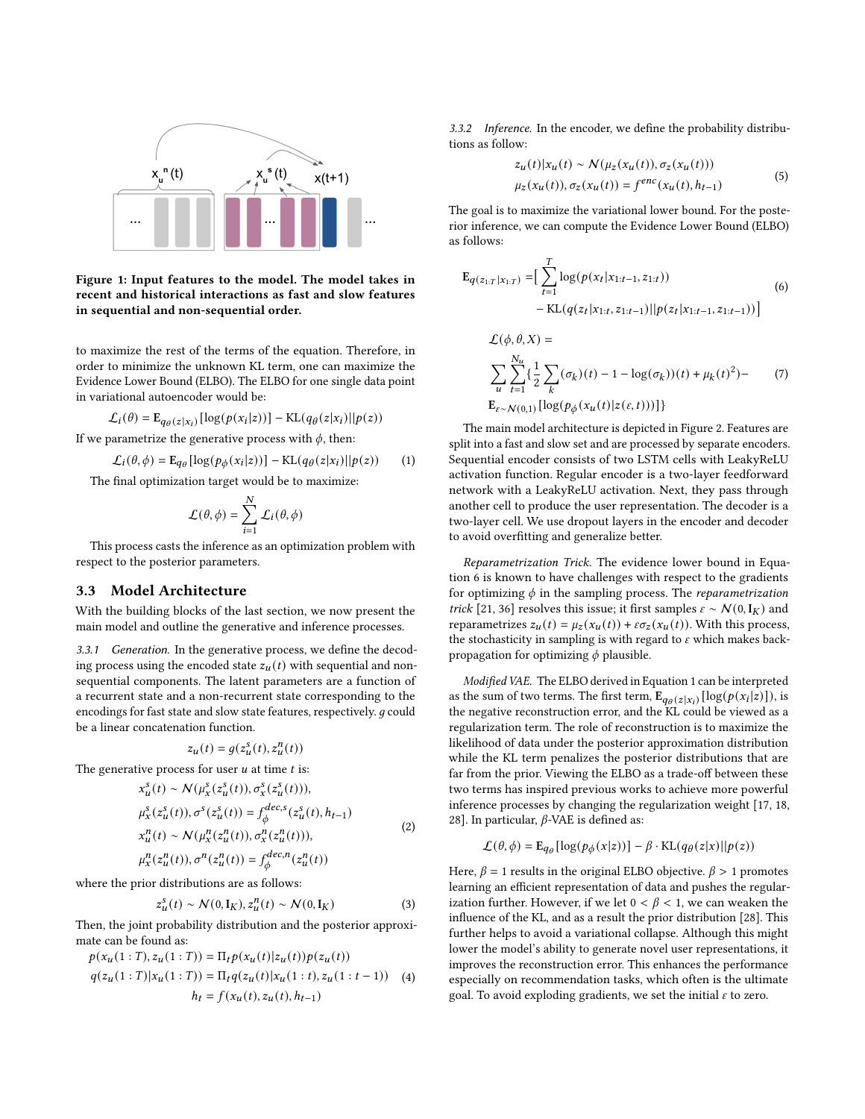<span id="page-3-0"></span>

Figure 1: Input features to the model. The model takes in recent and historical interactions as fast and slow features in sequential and non-sequential order.

to maximize the rest of the terms of the equation. Therefore, in order to minimize the unknown KL term, one can maximize the Evidence Lower Bound (ELBO). The ELBO for one single data point in variational autoencoder would be:

$$
\mathcal{L}_i(\theta) = \mathbf{E}_{q_{\theta}(z|x_i)} [\log(p(x_i|z))] - \text{KL}(q_{\theta}(z|x_i)||p(z))
$$

If we parametrize the generative process with  $\phi$ , then:

<span id="page-3-2"></span>
$$
\mathcal{L}_i(\theta, \phi) = \mathbb{E}_{q_\theta}[\log(p_\phi(x_i|z))] - \text{KL}(q_\theta(z|x_i)||p(z)) \qquad (1)
$$

The final optimization target would be to maximize:

$$
\mathcal{L}(\theta,\phi) = \sum_{i=1}^{N} \mathcal{L}_i(\theta,\phi)
$$

This process casts the inference as an optimization problem with respect to the posterior parameters.

## 3.3 Model Architecture

With the building blocks of the last section, we now present the main model and outline the generative and inference processes.

3.3.1 Generation. In the generative process, we define the decoding process using the encoded state  $z_u(t)$  with sequential and nonsequential components. The latent parameters are a function of a recurrent state and a non-recurrent state corresponding to the encodings for fast state and slow state features, respectively.  $q$  could be a linear concatenation function.

$$
z_u(t) = g(z_u^s(t), z_u^n(t))
$$

The generative process for user  $u$  at time  $t$  is:

$$
x_u^s(t) \sim \mathcal{N}(\mu_x^s(z_u^s(t)), \sigma_x^s(z_u^s(t))),
$$
  
\n
$$
\mu_x^s(z_u^s(t)), \sigma^s(z_u^s(t)) = f_{\phi}^{dec,s}(z_u^s(t), h_{t-1})
$$
  
\n
$$
x_u^n(t) \sim \mathcal{N}(\mu_x^n(z_u^n(t)), \sigma_x^n(z_u^n(t))),
$$
  
\n
$$
\mu_x^n(z_u^n(t)), \sigma^n(z_u^n(t)) = f_{\phi}^{dec,n}(z_u^n(t))
$$
\n(2)

where the prior distributions are as follows:

$$
z_u^s(t) \sim \mathcal{N}(0, \mathbf{I}_K), z_u^n(t) \sim \mathcal{N}(0, \mathbf{I}_K)
$$
\n(3)

Then, the joint probability distribution and the posterior approximate can be found as:<br> $h(n, (1, T), \tau, (1, T))$ 

$$
p(x_u(1:T), z_u(1:T)) = \Pi_t p(x_u(t)|z_u(t))p(z_u(t))
$$
  
 
$$
q(z_u(1:T)|x_u(1:T)) = \Pi_t q(z_u(t)|x_u(1:t), z_u(1:t-1))
$$
 (4)  
 
$$
h_t = f(x_u(t), z_u(t), h_{t-1})
$$

3.3.2 Inference. In the encoder, we define the probability distributions as follow:

$$
z_u(t)|x_u(t) \sim N(\mu_z(x_u(t)), \sigma_z(x_u(t)))
$$
  

$$
\mu_z(x_u(t)), \sigma_z(x_u(t)) = f^{enc}(x_u(t), h_{t-1})
$$
 (5)

The goal is to maximize the variational lower bound. For the posterior inference, we can compute the Evidence Lower Bound (ELBO) as follows:

<span id="page-3-1"></span>
$$
\mathbf{E}_{q(z_{1:T}|x_{1:T})} = \Big[ \sum_{t=1}^{T} \log(p(x_t|x_{1:t-1}, z_{1:t})) - \text{KL}(q(z_t|x_{1:t}, z_{1:t-1}) || p(z_t|x_{1:t-1}, z_{1:t-1})) \Big]
$$
(6)

$$
\mathcal{L}(\phi, \theta, X) =
$$
\n
$$
\sum_{u} \sum_{t=1}^{N_u} \left\{ \frac{1}{2} \sum_{k} (\sigma_k)(t) - 1 - \log(\sigma_k)(t) + \mu_k(t)^2 \right\} - \tag{7}
$$
\n
$$
\mathbf{E}_{\varepsilon \sim N(0, 1)} \left[ \log(p_\phi(x_u(t)|z(\varepsilon, t))) \right] \}
$$

The main model architecture is depicted in Figure [2.](#page-4-0) Features are split into a fast and slow set and are processed by separate encoders. Sequential encoder consists of two LSTM cells with LeakyReLU activation function. Regular encoder is a two-layer feedforward network with a LeakyReLU activation. Next, they pass through another cell to produce the user representation. The decoder is a two-layer cell. We use dropout layers in the encoder and decoder to avoid overfitting and generalize better.

Reparametrization Trick. The evidence lower bound in Equation [6](#page-3-1) is known to have challenges with respect to the gradients for optimizing  $\phi$  in the sampling process. The *reparametrization trick* [\[21,](#page-8-11) [36\]](#page-8-12) resolves this issue; it first samples  $\varepsilon \sim \mathcal{N}(0, I_K)$  and reparametrizes  $z_u(t) = \mu_z(x_u(t)) + \varepsilon \sigma_z(x_u(t))$ . With this process, the stochasticity in sampling is with regard to  $\varepsilon$  which makes backpropagation for optimizing  $\phi$  plausible.

Modified VAE. The ELBO derived in Equation [1](#page-3-2) can be interpreted as the sum of two terms. The first term,  $\mathbf{E}_{q_{\theta}(z|x_i)}[\log(p(x_i | z)]),$  is the negative reconstruction error, and the KL could be viewed as a regularization term. The role of reconstruction is to maximize the likelihood of data under the posterior approximation distribution while the KL term penalizes the posterior distributions that are far from the prior. Viewing the ELBO as a trade-off between these two terms has inspired previous works to achieve more powerful inference processes by changing the regularization weight [\[17,](#page-8-45) [18,](#page-8-46) [28\]](#page-8-16). In particular,  $\beta$ -VAE is defined as:

$$
\mathcal{L}(\theta, \phi) = \mathbf{E}_{q_{\theta}}[\log(p_{\phi}(x|z))] - \beta \cdot \text{KL}(q_{\theta}(z|x)||p(z))
$$

Here,  $\beta = 1$  results in the original ELBO objective.  $\beta > 1$  promotes learning an efficient representation of data and pushes the regularization further. However, if we let  $0 < \beta < 1$ , we can weaken the influence of the KL, and as a result the prior distribution [\[28\]](#page-8-16). This further helps to avoid a variational collapse. Although this might lower the model's ability to generate novel user representations, it improves the reconstruction error. This enhances the performance especially on recommendation tasks, which often is the ultimate goal. To avoid exploding gradients, we set the initial  $\varepsilon$  to zero.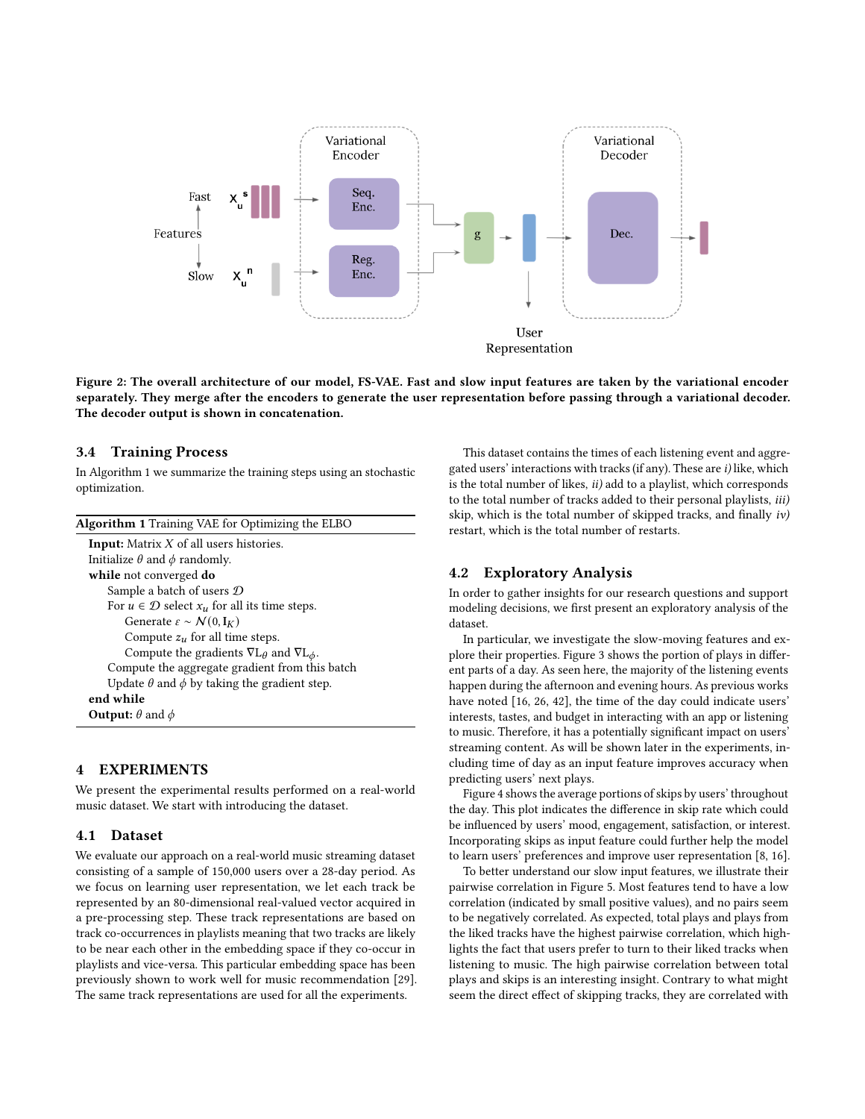<span id="page-4-0"></span>

Figure 2: The overall architecture of our model, FS-VAE. Fast and slow input features are taken by the variational encoder separately. They merge after the encoders to generate the user representation before passing through a variational decoder. The decoder output is shown in concatenation.

## 3.4 Training Process

In Algorithm [1](#page-4-1) we summarize the training steps using an stochastic optimization.

<span id="page-4-1"></span>

| <b>Algorithm 1</b> Training VAE for Optimizing the ELBO           |
|-------------------------------------------------------------------|
| <b>Input:</b> Matrix $X$ of all users histories.                  |
| Initialize $\theta$ and $\phi$ randomly.                          |
| while not converged do                                            |
| Sample a batch of users $D$                                       |
| For $u \in \mathcal{D}$ select $x_u$ for all its time steps.      |
| Generate $\varepsilon \sim \mathcal{N}(0, I_K)$                   |
| Compute $z_u$ for all time steps.                                 |
| Compute the gradients $\nabla L_{\theta}$ and $\nabla L_{\phi}$ . |
| Compute the aggregate gradient from this batch                    |
| Update $\theta$ and $\phi$ by taking the gradient step.           |
| end while                                                         |
| <b>Output:</b> $\theta$ and $\phi$                                |

# 4 EXPERIMENTS

We present the experimental results performed on a real-world music dataset. We start with introducing the dataset.

#### 4.1 Dataset

We evaluate our approach on a real-world music streaming dataset consisting of a sample of 150,000 users over a 28-day period. As we focus on learning user representation, we let each track be represented by an 80-dimensional real-valued vector acquired in a pre-processing step. These track representations are based on track co-occurrences in playlists meaning that two tracks are likely to be near each other in the embedding space if they co-occur in playlists and vice-versa. This particular embedding space has been previously shown to work well for music recommendation [\[29\]](#page-8-47). The same track representations are used for all the experiments.

This dataset contains the times of each listening event and aggregated users' interactions with tracks (if any). These are i) like, which is the total number of likes, ii) add to a playlist, which corresponds to the total number of tracks added to their personal playlists, iii) skip, which is the total number of skipped tracks, and finally iv) restart, which is the total number of restarts.

#### 4.2 Exploratory Analysis

In order to gather insights for our research questions and support modeling decisions, we first present an exploratory analysis of the dataset.

In particular, we investigate the slow-moving features and explore their properties. Figure [3](#page-5-0) shows the portion of plays in different parts of a day. As seen here, the majority of the listening events happen during the afternoon and evening hours. As previous works have noted [\[16,](#page-8-26) [26,](#page-8-48) [42\]](#page-8-49), the time of the day could indicate users' interests, tastes, and budget in interacting with an app or listening to music. Therefore, it has a potentially significant impact on users' streaming content. As will be shown later in the experiments, including time of day as an input feature improves accuracy when predicting users' next plays.

Figure [4](#page-5-1) shows the average portions of skips by users' throughout the day. This plot indicates the difference in skip rate which could be influenced by users' mood, engagement, satisfaction, or interest. Incorporating skips as input feature could further help the model to learn users' preferences and improve user representation [\[8,](#page-8-50) [16\]](#page-8-26).

To better understand our slow input features, we illustrate their pairwise correlation in Figure [5.](#page-5-2) Most features tend to have a low correlation (indicated by small positive values), and no pairs seem to be negatively correlated. As expected, total plays and plays from the liked tracks have the highest pairwise correlation, which highlights the fact that users prefer to turn to their liked tracks when listening to music. The high pairwise correlation between total plays and skips is an interesting insight. Contrary to what might seem the direct effect of skipping tracks, they are correlated with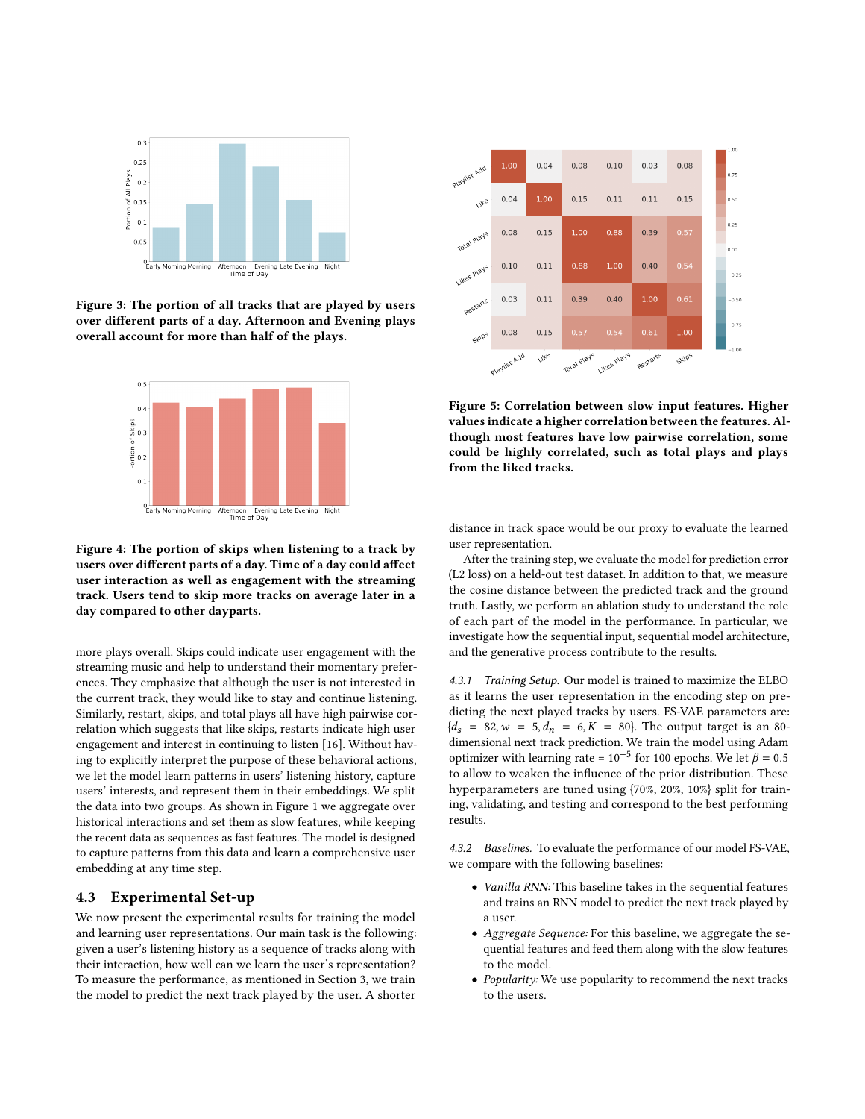<span id="page-5-0"></span>

Figure 3: The portion of all tracks that are played by users over different parts of a day. Afternoon and Evening plays overall account for more than half of the plays.

<span id="page-5-1"></span>

Figure 4: The portion of skips when listening to a track by users over different parts of a day. Time of a day could affect user interaction as well as engagement with the streaming track. Users tend to skip more tracks on average later in a day compared to other dayparts.

more plays overall. Skips could indicate user engagement with the streaming music and help to understand their momentary preferences. They emphasize that although the user is not interested in the current track, they would like to stay and continue listening. Similarly, restart, skips, and total plays all have high pairwise correlation which suggests that like skips, restarts indicate high user engagement and interest in continuing to listen [\[16\]](#page-8-26). Without having to explicitly interpret the purpose of these behavioral actions, we let the model learn patterns in users' listening history, capture users' interests, and represent them in their embeddings. We split the data into two groups. As shown in Figure [1](#page-3-0) we aggregate over historical interactions and set them as slow features, while keeping the recent data as sequences as fast features. The model is designed to capture patterns from this data and learn a comprehensive user embedding at any time step.

#### 4.3 Experimental Set-up

We now present the experimental results for training the model and learning user representations. Our main task is the following: given a user's listening history as a sequence of tracks along with their interaction, how well can we learn the user's representation? To measure the performance, as mentioned in Section [3,](#page-2-0) we train the model to predict the next track played by the user. A shorter

<span id="page-5-2"></span>

Figure 5: Correlation between slow input features. Higher values indicate a higher correlation between the features. Although most features have low pairwise correlation, some could be highly correlated, such as total plays and plays from the liked tracks.

distance in track space would be our proxy to evaluate the learned user representation.

After the training step, we evaluate the model for prediction error (L2 loss) on a held-out test dataset. In addition to that, we measure the cosine distance between the predicted track and the ground truth. Lastly, we perform an ablation study to understand the role of each part of the model in the performance. In particular, we investigate how the sequential input, sequential model architecture, and the generative process contribute to the results.

4.3.1 Training Setup. Our model is trained to maximize the ELBO as it learns the user representation in the encoding step on predicting the next played tracks by users. FS-VAE parameters are:  ${d_s = 82, w = 5, d_n = 6, K = 80}.$  The output target is an 80dimensional next track prediction. We train the model using Adam optimizer with learning rate =  $10^{-5}$  for 100 epochs. We let  $\beta = 0.5$ to allow to weaken the influence of the prior distribution. These hyperparameters are tuned using {70%, 20%, 10%} split for training, validating, and testing and correspond to the best performing results.

4.3.2 Baselines. To evaluate the performance of our model FS-VAE, we compare with the following baselines:

- Vanilla RNN: This baseline takes in the sequential features and trains an RNN model to predict the next track played by a user.
- Aggregate Sequence: For this baseline, we aggregate the sequential features and feed them along with the slow features to the model.
- Popularity: We use popularity to recommend the next tracks to the users.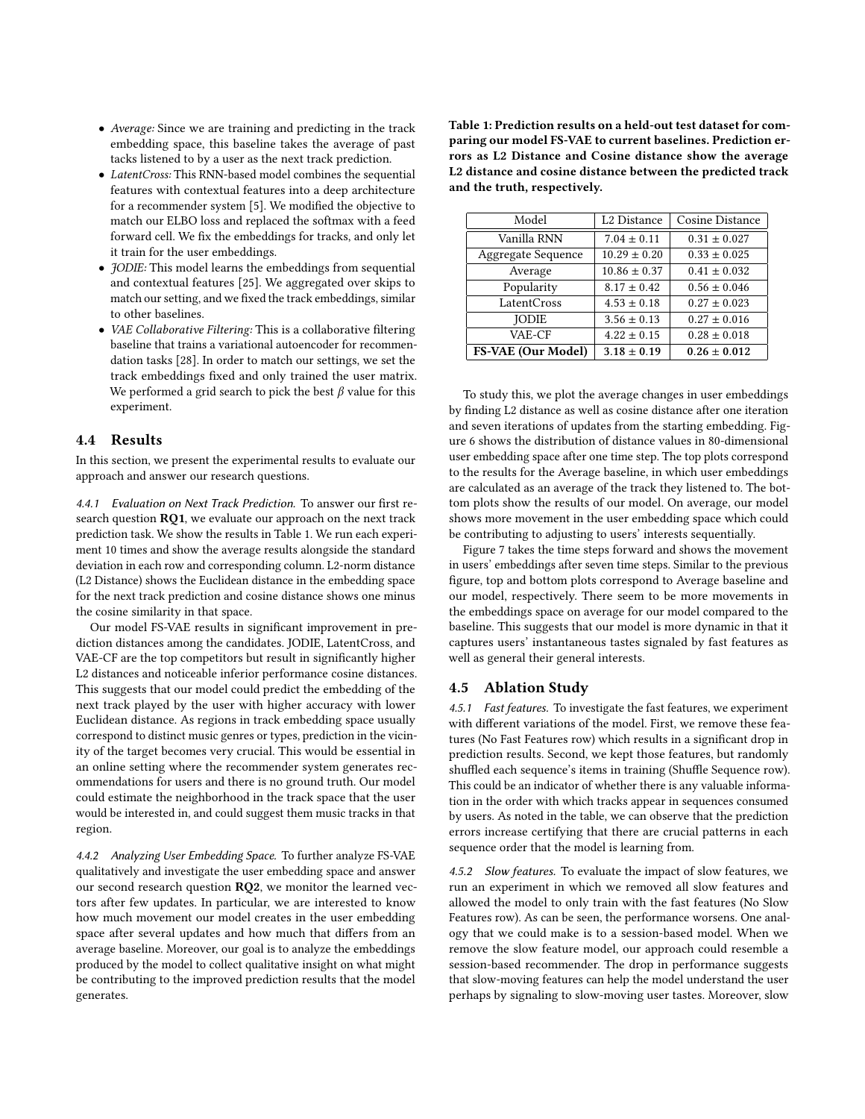- Average: Since we are training and predicting in the track embedding space, this baseline takes the average of past tacks listened to by a user as the next track prediction.
- LatentCross: This RNN-based model combines the sequential features with contextual features into a deep architecture for a recommender system [\[5\]](#page-8-30). We modified the objective to match our ELBO loss and replaced the softmax with a feed forward cell. We fix the embeddings for tracks, and only let it train for the user embeddings.
- *JODIE:* This model learns the embeddings from sequential and contextual features [\[25\]](#page-8-32). We aggregated over skips to match our setting, and we fixed the track embeddings, similar to other baselines.
- VAE Collaborative Filtering: This is a collaborative filtering baseline that trains a variational autoencoder for recommendation tasks [\[28\]](#page-8-16). In order to match our settings, we set the track embeddings fixed and only trained the user matrix. We performed a grid search to pick the best  $\beta$  value for this experiment.

## 4.4 Results

In this section, we present the experimental results to evaluate our approach and answer our research questions.

4.4.1 Evaluation on Next Track Prediction. To answer our first research question RQ1, we evaluate our approach on the next track prediction task. We show the results in Table [1.](#page-6-0) We run each experiment 10 times and show the average results alongside the standard deviation in each row and corresponding column. L2-norm distance (L2 Distance) shows the Euclidean distance in the embedding space for the next track prediction and cosine distance shows one minus the cosine similarity in that space.

Our model FS-VAE results in significant improvement in prediction distances among the candidates. JODIE, LatentCross, and VAE-CF are the top competitors but result in significantly higher L2 distances and noticeable inferior performance cosine distances. This suggests that our model could predict the embedding of the next track played by the user with higher accuracy with lower Euclidean distance. As regions in track embedding space usually correspond to distinct music genres or types, prediction in the vicinity of the target becomes very crucial. This would be essential in an online setting where the recommender system generates recommendations for users and there is no ground truth. Our model could estimate the neighborhood in the track space that the user would be interested in, and could suggest them music tracks in that region.

4.4.2 Analyzing User Embedding Space. To further analyze FS-VAE qualitatively and investigate the user embedding space and answer our second research question RQ2, we monitor the learned vectors after few updates. In particular, we are interested to know how much movement our model creates in the user embedding space after several updates and how much that differs from an average baseline. Moreover, our goal is to analyze the embeddings produced by the model to collect qualitative insight on what might be contributing to the improved prediction results that the model generates.

<span id="page-6-0"></span>Table 1: Prediction results on a held-out test dataset for comparing our model FS-VAE to current baselines. Prediction errors as L2 Distance and Cosine distance show the average L2 distance and cosine distance between the predicted track and the truth, respectively.

| Model                     | L <sub>2</sub> Distance | Cosine Distance  |
|---------------------------|-------------------------|------------------|
| Vanilla RNN               | $7.04 \pm 0.11$         | $0.31 \pm 0.027$ |
| Aggregate Sequence        | $10.29 \pm 0.20$        | $0.33 \pm 0.025$ |
| Average                   | $10.86 \pm 0.37$        | $0.41 \pm 0.032$ |
| Popularity                | $8.17 \pm 0.42$         | $0.56 \pm 0.046$ |
| LatentCross               | $4.53 \pm 0.18$         | $0.27 \pm 0.023$ |
| <b>JODIE</b>              | $3.56 \pm 0.13$         | $0.27 \pm 0.016$ |
| VAE-CF                    | $4.22 \pm 0.15$         | $0.28 \pm 0.018$ |
| <b>FS-VAE (Our Model)</b> | $3.18 \pm 0.19$         | $0.26 \pm 0.012$ |

To study this, we plot the average changes in user embeddings by finding L2 distance as well as cosine distance after one iteration and seven iterations of updates from the starting embedding. Figure [6](#page-7-0) shows the distribution of distance values in 80-dimensional user embedding space after one time step. The top plots correspond to the results for the Average baseline, in which user embeddings are calculated as an average of the track they listened to. The bottom plots show the results of our model. On average, our model shows more movement in the user embedding space which could be contributing to adjusting to users' interests sequentially.

Figure [7](#page-7-1) takes the time steps forward and shows the movement in users' embeddings after seven time steps. Similar to the previous figure, top and bottom plots correspond to Average baseline and our model, respectively. There seem to be more movements in the embeddings space on average for our model compared to the baseline. This suggests that our model is more dynamic in that it captures users' instantaneous tastes signaled by fast features as well as general their general interests.

#### 4.5 Ablation Study

4.5.1 Fast features. To investigate the fast features, we experiment with different variations of the model. First, we remove these features (No Fast Features row) which results in a significant drop in prediction results. Second, we kept those features, but randomly shuffled each sequence's items in training (Shuffle Sequence row). This could be an indicator of whether there is any valuable information in the order with which tracks appear in sequences consumed by users. As noted in the table, we can observe that the prediction errors increase certifying that there are crucial patterns in each sequence order that the model is learning from.

4.5.2 Slow features. To evaluate the impact of slow features, we run an experiment in which we removed all slow features and allowed the model to only train with the fast features (No Slow Features row). As can be seen, the performance worsens. One analogy that we could make is to a session-based model. When we remove the slow feature model, our approach could resemble a session-based recommender. The drop in performance suggests that slow-moving features can help the model understand the user perhaps by signaling to slow-moving user tastes. Moreover, slow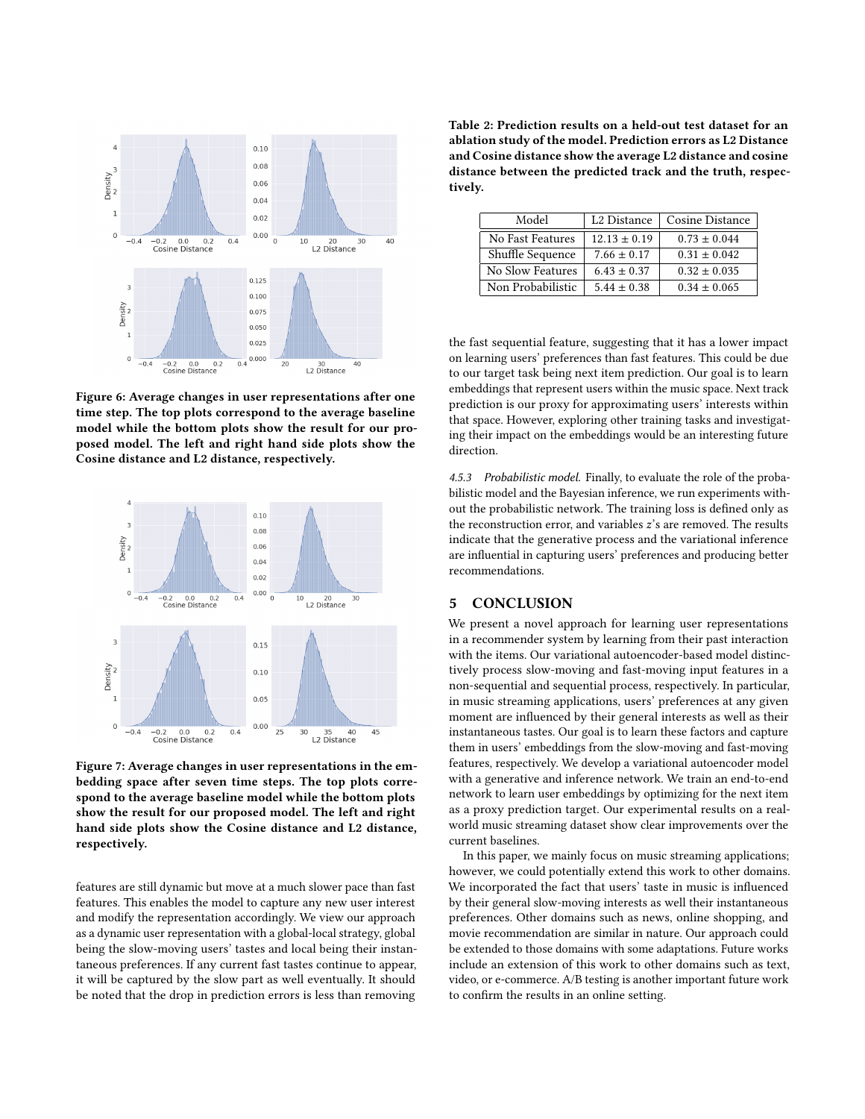<span id="page-7-0"></span>

Figure 6: Average changes in user representations after one time step. The top plots correspond to the average baseline model while the bottom plots show the result for our proposed model. The left and right hand side plots show the Cosine distance and L2 distance, respectively.

<span id="page-7-1"></span>

Figure 7: Average changes in user representations in the embedding space after seven time steps. The top plots correspond to the average baseline model while the bottom plots show the result for our proposed model. The left and right hand side plots show the Cosine distance and L2 distance, respectively.

features are still dynamic but move at a much slower pace than fast features. This enables the model to capture any new user interest and modify the representation accordingly. We view our approach as a dynamic user representation with a global-local strategy, global being the slow-moving users' tastes and local being their instantaneous preferences. If any current fast tastes continue to appear, it will be captured by the slow part as well eventually. It should be noted that the drop in prediction errors is less than removing

Table 2: Prediction results on a held-out test dataset for an ablation study of the model. Prediction errors as L2 Distance and Cosine distance show the average L2 distance and cosine distance between the predicted track and the truth, respectively.

| Model             | L <sub>2</sub> Distance | Cosine Distance  |
|-------------------|-------------------------|------------------|
| No Fast Features  | $12.13 \pm 0.19$        | $0.73 \pm 0.044$ |
| Shuffle Sequence  | $7.66 \pm 0.17$         | $0.31 \pm 0.042$ |
| No Slow Features  | $6.43 \pm 0.37$         | $0.32 \pm 0.035$ |
| Non Probabilistic | $5.44 \pm 0.38$         | $0.34 \pm 0.065$ |

the fast sequential feature, suggesting that it has a lower impact on learning users' preferences than fast features. This could be due to our target task being next item prediction. Our goal is to learn embeddings that represent users within the music space. Next track prediction is our proxy for approximating users' interests within that space. However, exploring other training tasks and investigating their impact on the embeddings would be an interesting future direction.

4.5.3 Probabilistic model. Finally, to evaluate the role of the probabilistic model and the Bayesian inference, we run experiments without the probabilistic network. The training loss is defined only as the reconstruction error, and variables  $z$ 's are removed. The results indicate that the generative process and the variational inference are influential in capturing users' preferences and producing better recommendations.

### 5 CONCLUSION

We present a novel approach for learning user representations in a recommender system by learning from their past interaction with the items. Our variational autoencoder-based model distinctively process slow-moving and fast-moving input features in a non-sequential and sequential process, respectively. In particular, in music streaming applications, users' preferences at any given moment are influenced by their general interests as well as their instantaneous tastes. Our goal is to learn these factors and capture them in users' embeddings from the slow-moving and fast-moving features, respectively. We develop a variational autoencoder model with a generative and inference network. We train an end-to-end network to learn user embeddings by optimizing for the next item as a proxy prediction target. Our experimental results on a realworld music streaming dataset show clear improvements over the current baselines.

In this paper, we mainly focus on music streaming applications; however, we could potentially extend this work to other domains. We incorporated the fact that users' taste in music is influenced by their general slow-moving interests as well their instantaneous preferences. Other domains such as news, online shopping, and movie recommendation are similar in nature. Our approach could be extended to those domains with some adaptations. Future works include an extension of this work to other domains such as text, video, or e-commerce. A/B testing is another important future work to confirm the results in an online setting.